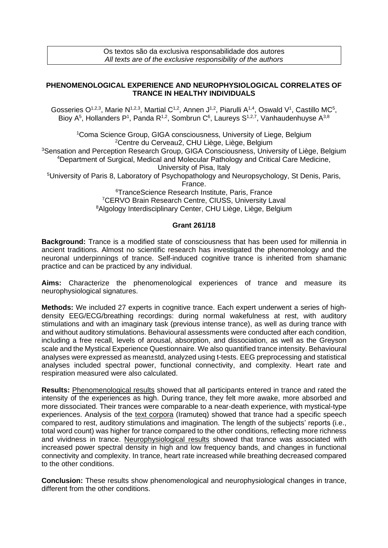## **PHENOMENOLOGICAL EXPERIENCE AND NEUROPHYSIOLOGICAL CORRELATES OF TRANCE IN HEALTHY INDIVIDUALS**

Gosseries O<sup>1,2,3</sup>, Marie N<sup>1,2,3</sup>, Martial C<sup>1,2</sup>, Annen J<sup>1,2</sup>, Piarulli A<sup>1,4</sup>, Oswald V<sup>1</sup>, Castillo MC<sup>5</sup>, Bioy A<sup>5</sup>, Hollanders P<sup>1</sup>, Panda R<sup>1,2</sup>, Sombrun C<sup>6</sup>, Laureys S<sup>1,2,7</sup>, Vanhaudenhuyse A<sup>3,8</sup>

Coma Science Group, GIGA consciousness, University of Liege, Belgium Centre du Cerveau2, CHU Liège, Liège, Belgium Sensation and Perception Research Group, GIGA Consciousness, University of Liège, Belgium Department of Surgical, Medical and Molecular Pathology and Critical Care Medicine, University of Pisa, Italy University of Paris 8, Laboratory of Psychopathology and Neuropsychology, St Denis, Paris, France. TranceScience Research Institute, Paris, France CERVO Brain Research Centre, CIUSS, University Laval Algology Interdisciplinary Center, CHU Liège, Liège, Belgium

## **Grant 261/18**

**Background:** Trance is a modified state of consciousness that has been used for millennia in ancient traditions. Almost no scientific research has investigated the phenomenology and the neuronal underpinnings of trance. Self-induced cognitive trance is inherited from shamanic practice and can be practiced by any individual.

**Aims:** Characterize the phenomenological experiences of trance and measure its neurophysiological signatures.

**Methods:** We included 27 experts in cognitive trance. Each expert underwent a series of highdensity EEG/ECG/breathing recordings: during normal wakefulness at rest, with auditory stimulations and with an imaginary task (previous intense trance), as well as during trance with and without auditory stimulations. Behavioural assessments were conducted after each condition, including a free recall, levels of arousal, absorption, and dissociation, as well as the Greyson scale and the Mystical Experience Questionnaire. We also quantified trance intensity. Behavioural analyses were expressed as mean±std, analyzed using t-tests. EEG preprocessing and statistical analyses included spectral power, functional connectivity, and complexity. Heart rate and respiration measured were also calculated.

**Results:** Phenomenological results showed that all participants entered in trance and rated the intensity of the experiences as high. During trance, they felt more awake, more absorbed and more dissociated. Their trances were comparable to a near-death experience, with mystical-type experiences. Analysis of the text corpora (Iramuteq) showed that trance had a specific speech compared to rest, auditory stimulations and imagination. The length of the subjects' reports (i.e., total word count) was higher for trance compared to the other conditions, reflecting more richness and vividness in trance. Neurophysiological results showed that trance was associated with increased power spectral density in high and low frequency bands, and changes in functional connectivity and complexity. In trance, heart rate increased while breathing decreased compared to the other conditions.

**Conclusion:** These results show phenomenological and neurophysiological changes in trance, different from the other conditions.